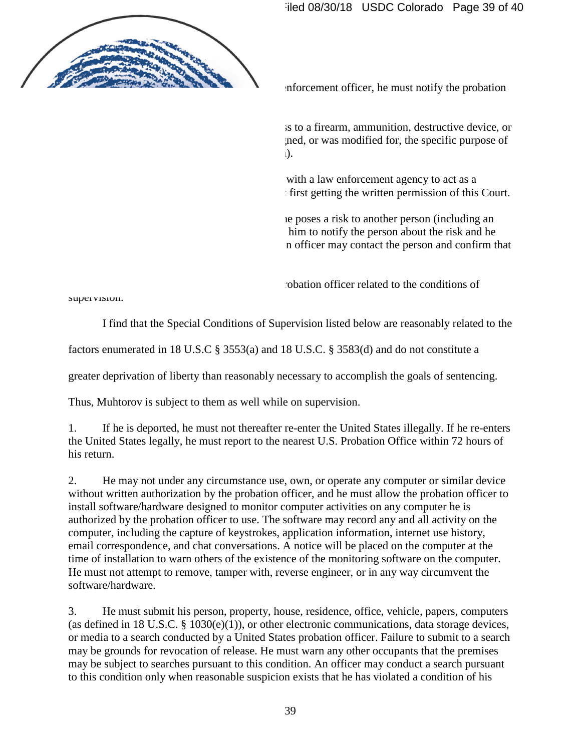11. If he is arrested or questioned by a law enforcement officer, he must notify the probation officer within 72 hours.

12. He must not own, possess, or have access to a firearm, ammunition, destructive device, or dangerous weapon (i.e., anything that was designed, or was modified for, the specific purpose of causing bodily injury or death to another person).

13. He must not act or make any agreement with a law enforcement agency to act as a confidential human source or informant without first getting the written permission of this Court.

14. If the probation officer determines that he poses a risk to another person (including an organization), the probation officer may require him to notify the person about the risk and he must comply with that instruction. The probation officer may contact the person and confirm that he has notified the person about the risk.

15. He must follow the instructions of the probation officer related to the conditions of supervision.

I find that the Special Conditions of Supervision listed below are reasonably related to the

factors enumerated in 18 U.S.C § 3553(a) and 18 U.S.C. § 3583(d) and do not constitute a

greater deprivation of liberty than reasonably necessary to accomplish the goals of sentencing.

Thus, Muhtorov is subject to them as well while on supervision.

1. If he is deported, he must not thereafter re-enter the United States illegally. If he re-enters the United States legally, he must report to the nearest U.S. Probation Office within 72 hours of his return.

2. He may not under any circumstance use, own, or operate any computer or similar device without written authorization by the probation officer, and he must allow the probation officer to install software/hardware designed to monitor computer activities on any computer he is authorized by the probation officer to use. The software may record any and all activity on the computer, including the capture of keystrokes, application information, internet use history, email correspondence, and chat conversations. A notice will be placed on the computer at the time of installation to warn others of the existence of the monitoring software on the computer. He must not attempt to remove, tamper with, reverse engineer, or in any way circumvent the software/hardware.

3. He must submit his person, property, house, residence, office, vehicle, papers, computers (as defined in 18 U.S.C. § 1030(e)(1)), or other electronic communications, data storage devices, or media to a search conducted by a United States probation officer. Failure to submit to a search may be grounds for revocation of release. He must warn any other occupants that the premises may be subject to searches pursuant to this condition. An officer may conduct a search pursuant to this condition only when reasonable suspicion exists that he has violated a condition of his